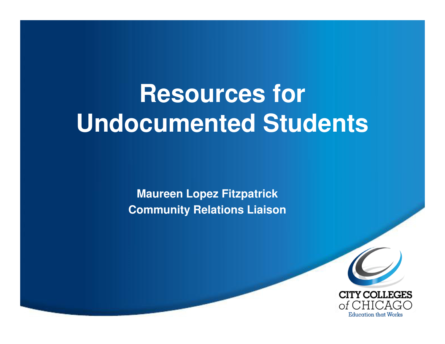# **Resources forUndocumented Students**

**Maureen Lopez FitzpatrickCommunity Relations Liaison**

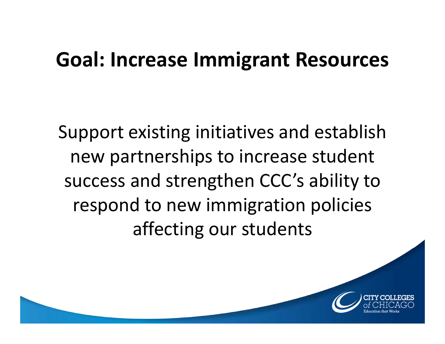### Goal: Increase Immigrant Resources

Support existing initiatives and establish new partnerships to increase student success and strengthen CCC's ability to respond to new immigration policies affecting our students

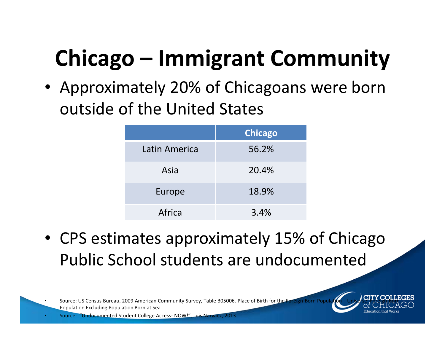# Chicago – Immigrant Community

• Approximately 20% of Chicagoans were born outside of the United States

|               | <b>Chicago</b> |
|---------------|----------------|
| Latin America | 56.2%          |
| Asia          | 20.4%          |
| Europe        | 18.9%          |
| Africa        | 3.4%           |

• CPS estimates approximately 15% of Chicago Public School students are undocumented

Source: US Census Bureau, 2009 American Community Survey, Table B05006. Place of Birth for the F Population Excluding Population Born at Sea

"Undocumented Student College Access- NOW!", Luis Narvaez, 2013

•

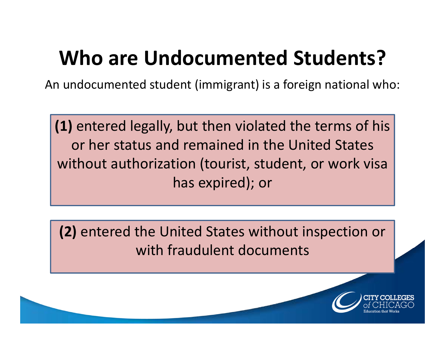### Who are Undocumented Students?

An undocumented student (immigrant) is a foreign national who:

(1) entered legally, but then violated the terms of hisor her status and remained in the United States without authorization (tourist, student, or work visa has expired); or

(2) entered the United States without inspection or with fraudulent documents

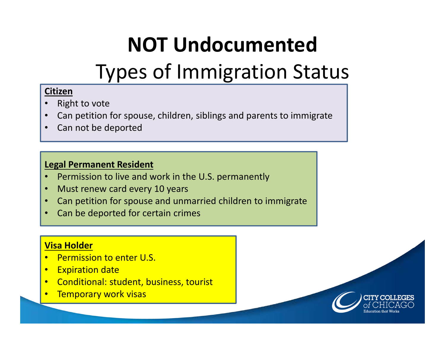## NOT Undocumented

### Types of Immigration Status

#### Citizen

- Right to vote •
- Can petition for spouse, children, siblings and parents to immigrate•
- •Can not be deported

#### Legal Permanent Resident

- •Permission to live and work in the U.S. permanently
- •Must renew card every 10 years
- •Can petition for spouse and unmarried children to immigrate
- •Can be deported for certain crimes

#### Visa Holder

- •Permission to enter U.S.
- •**Expiration date**
- Conditional: student, business, tourist •
- •Temporary work visas

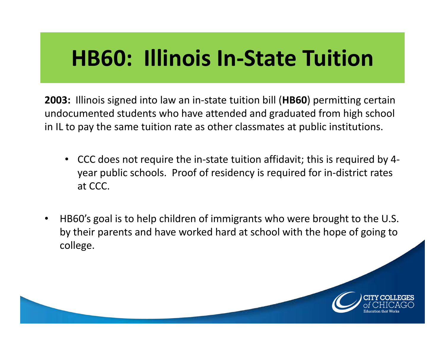### HB60: Illinois In-State Tuition

2003: Illinois signed into law an in-state tuition bill (HB60) permitting certain undocumented students who have attended and graduated from high school in IL to pay the same tuition rate as other classmates at public institutions.

- CCC does not require the in-state tuition affidavit; this is required by 4 year public schools. Proof of residency is required for in-district rates at CCC.
- $\bullet$  HB60's goal is to help children of immigrants who were brought to the U.S. by their parents and have worked hard at school with the hope of going to college.

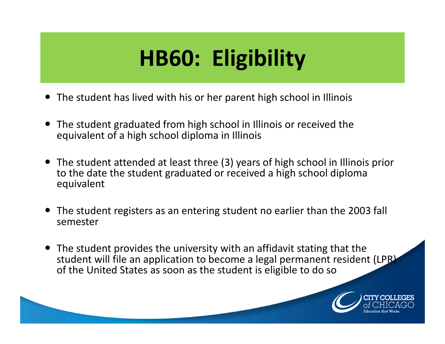# HB60: Eligibility

- The student has lived with his or her parent high school in Illinois
- The student graduated from high school in Illinois or received the equivalent of a high school diploma in Illinois
- The student attended at least three (3) years of high school in Illinois prior to the date the student graduated or received a high school diploma equivalent
- The student registers as an entering student no earlier than the 2003 fall semester
- The student provides the university with an affidavit stating that the student will file an application to become a legal permanent resident (LPR) of the United States as soon as the student is eligible to do so

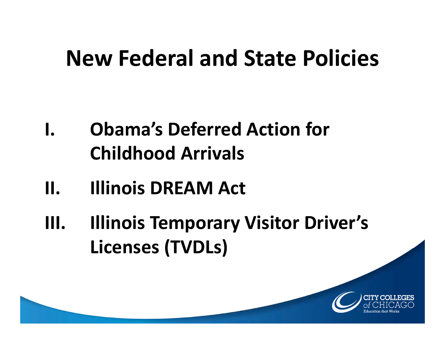# New Federal and State Policies

- I. Obama's Deferred Action for Childhood Arrivals
- II. Illinois DREAM Act
- III. Illinois Temporary Visitor Driver's Licenses (TVDLs)

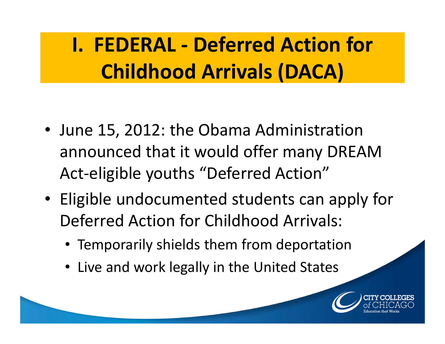## I. FEDERAL - Deferred Action for Childhood Arrivals (DACA)

- June 15, 2012: the Obama Administration announced that it would offer many DREAM Act-eligible youths "Deferred Action"
- Eligible undocumented students can apply for Deferred Action for Childhood Arrivals:
	- Temporarily shields them from deportation
	- Live and work legally in the United States

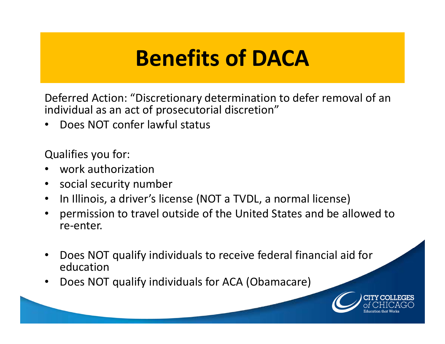### Benefits of DACA

Deferred Action: "Discretionary determination to defer removal of an individual as an act of prosecutorial discretion"

•Does NOT confer lawful status

Qualifies you for:

- •work authorization
- social security number  $\bullet$
- $\bullet$ In Illinois, a driver's license (NOT a TVDL, a normal license)
- $\bullet$  permission to travel outside of the United States and be allowed to re-enter.
- $\bullet$  Does NOT qualify individuals to receive federal financial aid for education
- Does NOT qualify individuals for ACA (Obamacare)•

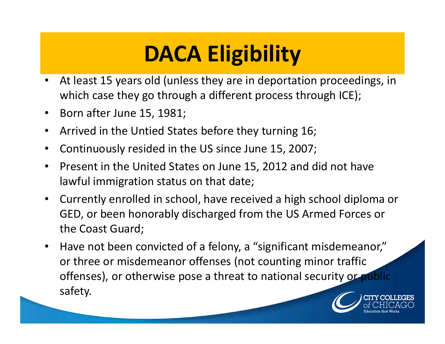# DACA Eligibility

- $\bullet$  At least 15 years old (unless they are in deportation proceedings, in which case they go through a different process through ICE);
- $\bullet$ Born after June 15, 1981;
- $\bullet$ Arrived in the Untied States before they turning 16;
- $\bullet$ Continuously resided in the US since June 15, 2007;
- • Present in the United States on June 15, 2012 and did not have lawful immigration status on that date;
- $\bullet$  Currently enrolled in school, have received a high school diploma or GED, or been honorably discharged from the US Armed Forces or the Coast Guard;
- $\bullet$  Have not been convicted of a felony, a "significant misdemeanor," or three or misdemeanor offenses (not counting minor traffic offenses), or otherwise pose a threat to national security or public safety.

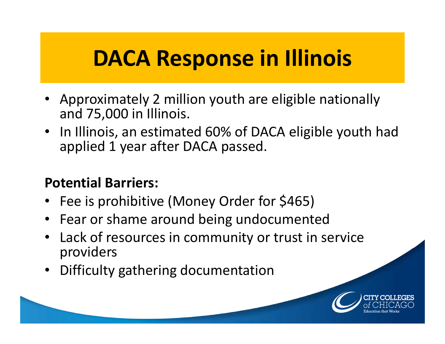## DACA Response in Illinois

- Approximately 2 million youth are eligible nationally and 75,000 in Illinois.
- In Illinois, an estimated 60% of DACA eligible youth had applied 1 year after DACA passed.

### Potential Barriers:

- Fee is prohibitive (Money Order for \$465)
- Fear or shame around being undocumented
- Lack of resources in community or trust in service  $\bullet$ providers
- Difficulty gathering documentation

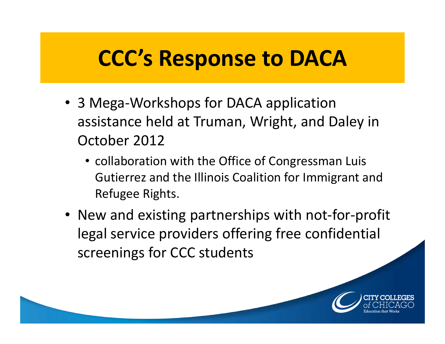### CCC's Response to DACA

- 3 Mega-Workshops for DACA application assistance held at Truman, Wright, and Daley in October 2012
	- collaboration with the Office of Congressman Luis Gutierrez and the Illinois Coalition for Immigrant and Refugee Rights.
- New and existing partnerships with not-for-profit legal service providers offering free confidential screenings for CCC students

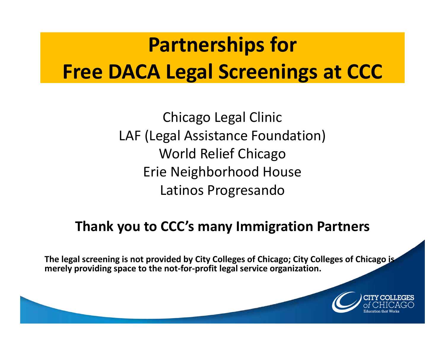## Partnerships forFree DACA Legal Screenings at CCC

Chicago Legal ClinicLAF (Legal Assistance Foundation)World Relief Chicago Erie Neighborhood HouseLatinos Progresando

### Thank you to CCC's many Immigration Partners

The legal screening is not provided by City Colleges of Chicago; City Colleges of Chicago is merely providing space to the not-for-profit legal service organization.

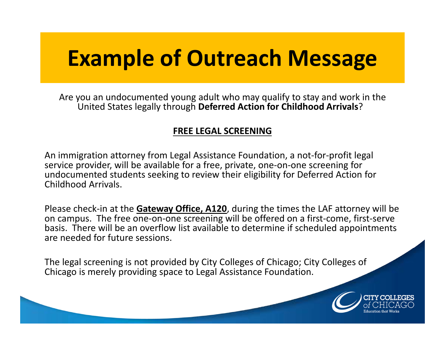### Example of Outreach Message

Are you an undocumented young adult who may qualify to stay and work in the United States legally through Deferred Action for Childhood Arrivals?

#### FREE LEGAL SCREENING

An immigration attorney from Legal Assistance Foundation, a not-for-profit legal service provider, will be available for a free, private, one-on-one screening for undocumented students seeking to review their eligibility for Deferred Action for Childhood Arrivals.

Please check-in at the **Gateway Office, A120**, during the times the LAF attorney will be on campus. The free one-on-one screening will be offered on a first-come, first-serve basis. There will be an overflow list available to determine if scheduled appointments are needed for future sessions.

The legal screening is not provided by City Colleges of Chicago; City Colleges of Chicago is merely providing space to Legal Assistance Foundation.

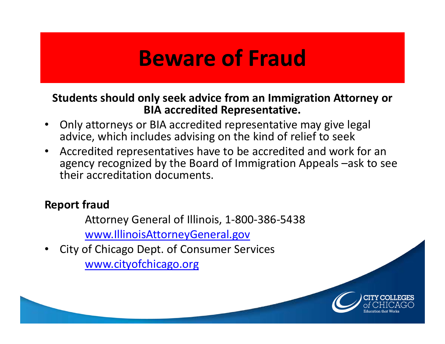### Beware of Fraud

#### Students should only seek advice from an Immigration Attorney or BIA accredited Representative.

- • Only attorneys or BIA accredited representative may give legal advice, which includes advising on the kind of relief to seek
- Accredited representatives have to be accredited and work for an  $\bullet$ agency recognized by the Board of Immigration Appeals –ask to see their accreditation documents.

#### Report fraud

 Attorney General of Illinois, 1-800-386-5438www.IllinoisAttorneyGeneral.gov

 City of Chicago Dept. of Consumer Services•www.cityofchicago.org

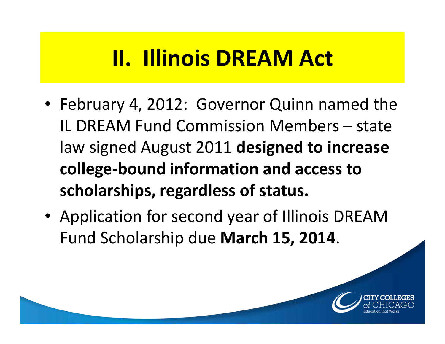### II. Illinois DREAM Act

- February 4, 2012: Governor Quinn named the IL DREAM Fund Commission Members – state law signed August 2011 designed to increase college-bound information and access to scholarships, regardless of status.
- Application for second year of Illinois DREAM Fund Scholarship due March 15, 2014.

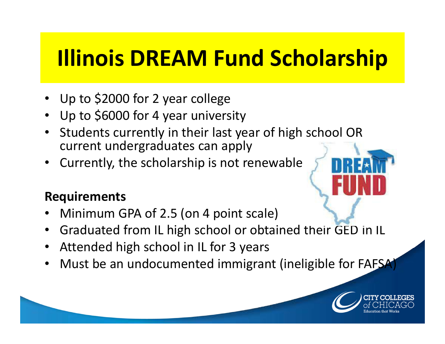# Illinois DREAM Fund Scholarship

- Up to \$2000 for 2 year college
- Up to \$6000 for 4 year university•
- Students currently in their last year of high school OR  $\bullet$ current undergraduates can apply
- Currently, the scholarship is not renewable•

### Requirements

- •Minimum GPA of 2.5 (on 4 point scale)
- •Graduated from IL high school or obtained their GED in IL
- •Attended high school in IL for 3 years
- •Must be an undocumented immigrant (ineligible for FAFSA)

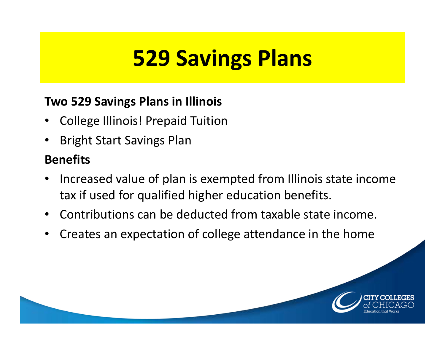# 529 Savings Plans

### Two 529 Savings Plans in Illinois

- •College Illinois! Prepaid Tuition
- •Bright Start Savings Plan

### Benefits

- • Increased value of plan is exempted from Illinois state income tax if used for qualified higher education benefits.
- $\bullet$ Contributions can be deducted from taxable state income.
- •Creates an expectation of college attendance in the home

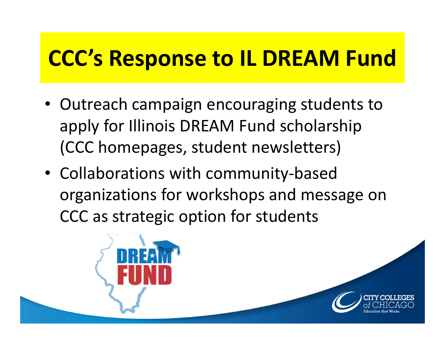### CCC's Response to IL DREAM Fund

- Outreach campaign encouraging students to apply for Illinois DREAM Fund scholarship (CCC homepages, student newsletters)
- Collaborations with community-based organizations for workshops and message on CCC as strategic option for students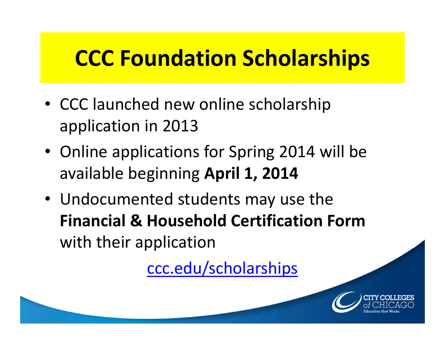## CCC Foundation Scholarships

- CCC launched new online scholarship application in 2013
- Online applications for Spring 2014 will be available beginning April 1, 2014
- Undocumented students may use the Financial & Household Certification Form with their application

ccc.edu/scholarships

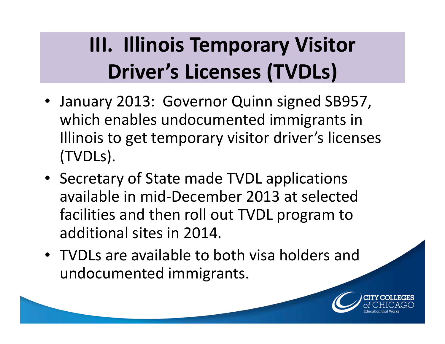### III. Illinois Temporary Visitor Driver's Licenses (TVDLs)

- January 2013: Governor Quinn signed SB957, which enables undocumented immigrants in Illinois to get temporary visitor driver's licenses(TVDLs).
- Secretary of State made TVDL applications available in mid-December 2013 at selected facilities and then roll out TVDL program to additional sites in 2014.
- TVDLs are available to both visa holders and undocumented immigrants.

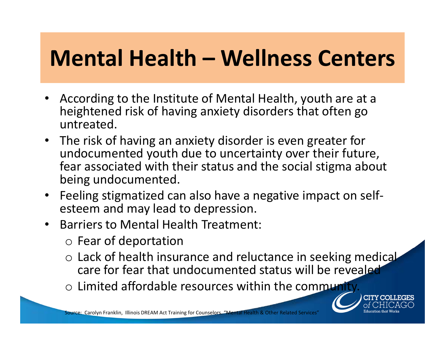### Mental Health – Wellness Centers

- • According to the Institute of Mental Health, youth are at a heightened risk of having anxiety disorders that often go untreated.
- The risk of having an anxiety disorder is even greater for undocumented youth due to uncertainty over their future, fear associated with their status and the social stigma about being undocumented.
- Feeling stigmatized can also have a negative impact on selfesteem and may lead to depression.
- $\bullet$  Barriers to Mental Health Treatment:
	- o Fear of deportation
	- o Lack of health insurance and reluctance in seeking medical care for fear that undocumented status will be revealed
	- o Limited affordable resources within the community.

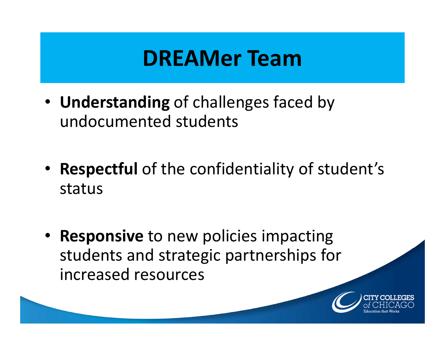### DREAMer Team

- Understanding of challenges faced by undocumented students
- Respectful of the confidentiality of student's status
- Responsive to new policies impacting students and strategic partnerships for increased resources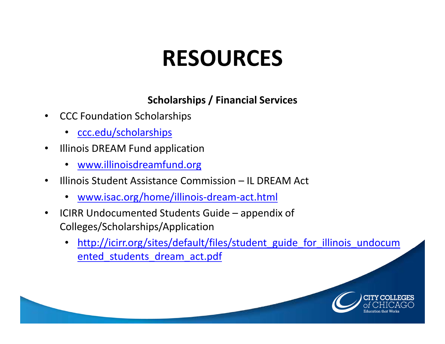# RESOURCES

#### Scholarships / Financial Services

- • CCC Foundation Scholarships
	- <u>ccc.edu/scholarships</u>
- $\bullet$  Illinois DREAM Fund application
	- www.illinoisdreamfund.org
- • Illinois Student Assistance Commission – IL DREAM Act
	- www.isac.org/home/illinois-dream-act.html
- $\bullet$  ICIRR Undocumented Students Guide – appendix of Colleges/Scholarships/Application
	- •http://icirr.org/sites/default/files/student\_guide\_for\_illinois\_undocum ented students dream act.pdf

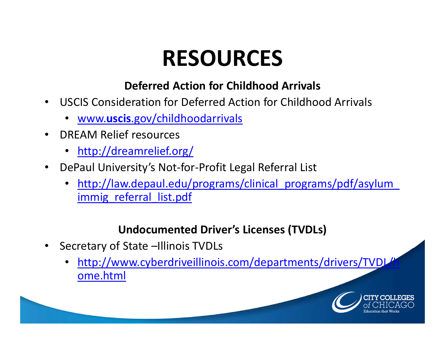# RESOURCES

#### Deferred Action for Childhood Arrivals

- $\bullet$  USCIS Consideration for Deferred Action for Childhood Arrivals
	- www.uscis.gov/childhoodarrivals
- • DREAM Relief resources
	- http://dreamrelief.org/
- $\bullet$  DePaul University's Not-for-Profit Legal Referral List
	- •http://law.depaul.edu/programs/clinical\_programs/pdf/asylum immig referral list.pdf

### Undocumented Driver's Licenses (TVDLs)

- $\bullet$  Secretary of State –Illinois TVDLs
	- •http://www.cyberdriveillinois.com/departments/drivers/TVDL ome.html